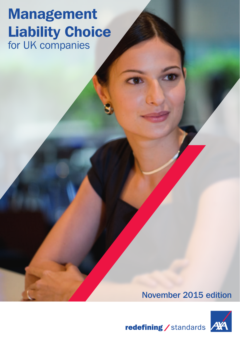# Management Liability Choice for UK companies

# November 2015 edition



redefining / standards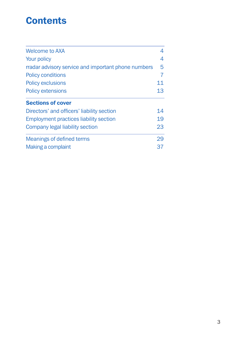# **Contents**

| <b>Welcome to AXA</b>                               | 4  |
|-----------------------------------------------------|----|
| Your policy                                         | 4  |
| rradar advisory service and important phone numbers | 5  |
| <b>Policy conditions</b>                            | 7  |
| <b>Policy exclusions</b>                            | 11 |
| <b>Policy extensions</b>                            | 13 |
| <b>Sections of cover</b>                            |    |
| Directors' and officers' liability section          | 14 |
| <b>Employment practices liability section</b>       | 19 |
| Company legal liability section                     | 23 |
| Meanings of defined terms                           | 29 |
| Making a complaint                                  | 37 |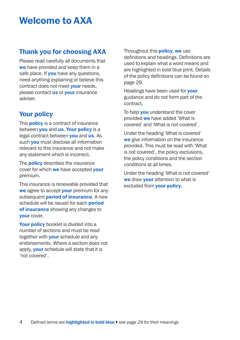# Welcome to AXA

### Thank you for choosing AXA

Please read carefully all documents that we have provided and keep them in a safe place. If **you** have any questions, need anything explaining or believe this contract does not meet **your** needs. please contact **us** or **your** insurance adviser.

## Your policy

This **policy** is a contract of insurance between **you** and us. Your policy is a legal contract between **you** and **us**. As such **you** must disclose all information relevant to this insurance and not make any statement which is incorrect.

The **policy** describes the insurance cover for which we have accepted vour premium.

This insurance is renewable provided that we agree to accept vour premium for any subsequent **period of insurance**. A new schedule will be issued for each **period** of insurance showing any changes to your cover.

Your policy booklet is divided into a number of sections and must be read together with **your** schedule and any endorsements. Where a section does not apply, **your** schedule will state that it is 'not covered'.

#### Throughout this **policy**, we use

definitions and headings. Definitions are used to explain what a word means and are highlighted in bold blue print. Details of the policy definitions can be found on page 29.

Headings have been used for **your** guidance and do not form part of the contract.

To help **you** understand the cover provided we have added 'What is covered' and 'What is not covered'.

Under the heading 'What is covered' we give information on the insurance provided. This must be read with 'What is not covered', the policy exclusions, the policy conditions and the section conditions at all times.

Under the heading 'What is not covered' we draw **your** attention to what is excluded from your policy.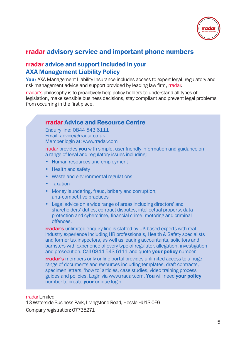

### rradar advisory service and important phone numbers

### rradar advice and support included in your AXA Management Liability Policy

Your AXA Management Liability Insurance includes access to expert legal, regulatory and risk management advice and support provided by leading law firm, rradar.

rradar's philosophy is to proactively help policy holders to understand all types of legislation, make sensible business decisions, stay compliant and prevent legal problems from occurring in the first place.

### rradar Advice and Resource Centre

Enquiry line: 0844 543 6111 Email: [advice@rradar.co.uk](mailto:advice@rradar.co.uk) Member login at: [www.rradar.com](http://www.rradar.com)

rradar provides you with simple, user friendly information and guidance on a range of legal and regulatory issues including:

- Human resources and employment
- Health and safety
- Waste and environmental regulations
- Taxation
- Money laundering, fraud, bribery and corruption, anti-competitive practices
- Legal advice on a wide range of areas including directors' and shareholders' duties, contract disputes, intellectual property, data protection and cybercrime, financial crime, motoring and criminal offences.

**rradar's** unlimited enquiry line is staffed by UK based experts with real industry experience including HR professionals, Health & Safety specialists and former tax inspectors, as well as leading accountants, solicitors and barristers with experience of every type of regulator, allegation, investigation and prosecution. Call 0844 543 6111 and quote your policy number.

**rradar's** members only online portal provides unlimited access to a huge range of documents and resources including templates, draft contracts, specimen letters, 'how to' articles, case studies, video training process guides and policies. Login via [www.rradar.com.](http://www.rradar.com) You will need your policy number to create **your** unique login.

rradar Limited

13 Waterside Business Park, Livingstone Road, Hessle HU13 0EG Company registration: 07735271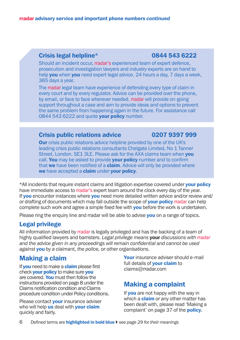### Crisis legal helpline\* 0844 543 6222

Should an incident occur, rradar's experienced team of expert defence. prosecution and investigation lawyers and industry experts are on hand to help **you** when **you** need expert legal advice, 24 hours a day, 7 days a week. 365 days a year.

The rradar legal team have experience of defending every type of claim in every court and by every regulator. Advice can be provided over the phone, by email, or face to face wherever needed. rradar will provide on-going support throughout a case and aim to provide ideas and options to prevent the same problem from happening again in the future. For assistance call 0844 543 6222 and quote your policy number.

#### Crisis public relations advice 0207 9397 999

**Our** crisis public relations advice helpline provided by one of the UK's leading crisis public relations consultants Chelgate Limited, No 1 Tanner Street, London, SE1 3LE. Please ask for the AXA claims team when you call. You may be asked to provide your policy number and to confirm that we have been notified of a claim. Advice will only be provided where we have accepted a claim under your policy.

\*All incidents that require instant claims and litigation expertise covered under your policy have immediate access to rradar's expert team around the clock every day of the year. If **you** encounter instances where **you** need more detailed written advice and/or review and/ or drafting of documents which may fall outside the scope of **your policy** rradar can help complete such work and agree a simple fixed fee with you before the work is undertaken.

Please ring the enquiry line and rradar will be able to advise you on a range of topics.

### Legal privilege

All information provided by rradar is legally privileged and has the backing of a team of highly qualified lawyers and barristers. *Legal privilege means* your *discussions with rradar and the advice given in any proceedings will remain confidential and cannot be used against* you *by a claimant, the police, or other organisations.*

### Making a claim

If **you** need to make a **claim** please first check your policy to make sure you are covered. You must then follow the instructions provided on page 8 under the Claims notification condition and Claims procedure condition under Policy conditions.

Please contact **your** insurance adviser who will help us deal with **your claim** quickly and fairly.

Your insurance adviser should e-mail full details of **your claim** to [claims@rradar.com](mailto:claims@rradar.com)

### Making a complaint

If **you** are not happy with the way in which a **claim** or any other matter has been dealt with, please read 'Making a complaint' on page 37 of the **policy**.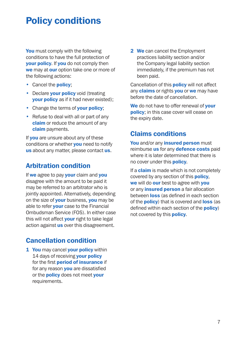# Policy conditions

You must comply with the following conditions to have the full protection of **vour policy.** If you do not comply then we may at our option take one or more of the following actions:

- Cancel the **policy:**
- Declare vour policy void (treating your policy as if it had never existed);
- Change the terms of your policy;
- Refuse to deal with all or part of any claim or reduce the amount of any claim payments.

If you are unsure about any of these conditions or whether you need to notify us about any matter, please contact us.

### Arbitration condition

If we agree to pay your claim and you disagree with the amount to be paid it may be referred to an arbitrator who is jointly appointed. Alternatively, depending on the size of **your** business, you may be able to refer **your** case to the Financial Ombudsman Service (FOS). In either case this will not affect **your** right to take legal action against us over this disagreement.

## Cancellation condition

1 You may cancel your policy within 14 days of receiving **your policy** for the first period of insurance if for any reason **you** are dissatisfied or the **policy** does not meet your requirements.

2 We can cancel the Employment practices liability section and/or the Company legal liability section immediately, if the premium has not been paid.

Cancellation of this **policy** will not affect any **claims** or rights **you** or we may have before the date of cancellation.

We do not have to offer renewal of vour policy; in this case cover will cease on the expiry date.

### Claims conditions

You and/or any *insured* person must reimburse **us** for any **defence costs** paid where it is later determined that there is no cover under this **policy**.

If a **claim** is made which is not completely covered by any section of this **policy**, we will do our best to agree with you or any *insured person* a fair allocation between **loss** (as defined in each section of the **policy**) that is covered and **loss** (as defined within each section of the **policy**) not covered by this **policy**.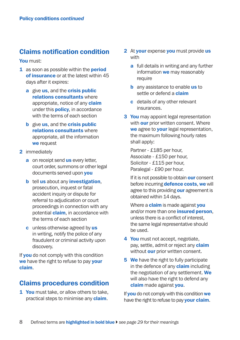### Claims notification condition

You must:

- 1 as soon as possible within the **period** of insurance or at the latest within 45 days after it expires:
	- a give us, and the crisis public relations consultants where appropriate, notice of any **claim** under this **policy**, in accordance with the terms of each section
	- **b** give us, and the **crisis public** relations consultants where appropriate, all the information we request
- 2 immediately
	- a on receipt send us every letter. court order, summons or other legal documents served upon **you**
	- **b** tell us about any **investigation**, prosecution, inquest or fatal accident inquiry or dispute for referral to adjudication or court proceedings in connection with any potential **claim**, in accordance with the terms of each section
	- c unless otherwise agreed by us in writing, notify the police of any fraudulent or criminal activity upon discovery.

If **you** do not comply with this condition we have the right to refuse to pay vour claim.

### Claims procedures condition

1 You must take, or allow others to take, practical steps to minimise any **claim**.

- 2 At your expense you must provide us with
	- a full details in writing and any further information we may reasonably require
	- **b** any assistance to enable us to settle or defend a **claim**
	- c details of any other relevant insurances.
- **3 You** may appoint legal representation with **our** prior written consent. Where we agree to your legal representation, the maximum following hourly rates shall apply:

 Partner - £185 per hour, Associate - £150 per hour, Solicitor - £115 per hour, Paralegal - £90 per hour.

If it is not possible to obtain our consent before incurring **defence costs, we** will agree to this providing **our** agreement is obtained within 14 days.

Where a **claim** is made against **you** and/or more than one **insured person**. unless there is a conflict of interest, the same legal representative should be used.

- 4 You must not accept, negotiate, pay, settle, admit or reject any **claim** without **our** prior written consent.
- **5** We have the right to fully participate in the defence of any **claim** including the negotiation of any settlement. We will also have the right to defend any claim made against vou.

If you do not comply with this condition we have the right to refuse to pay **your claim**.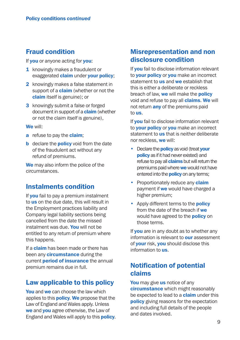### Fraud condition

If you or anyone acting for you:

- 1 knowingly makes a fraudulent or exaggerated **claim** under your policy;
- 2 knowingly makes a false statement in support of a **claim** (whether or not the claim itself is genuine); or
- **3** knowingly submit a false or forged document in support of a **claim** (whether or not the claim itself is genuine),

#### We will:

- a refuse to pay the claim;
- **b** declare the **policy** void from the date of the fraudulent act without any refund of premiums.

We may also inform the police of the circumstances.

### Instalments condition

If **you** fail to pay a premium instalment to us on the due date, this will result in the Employment practices liability and Company legal liability sections being cancelled from the date the missed instalment was due. You will not be entitled to any return of premium where this happens.

If a **claim** has been made or there has been any **circumstance** during the current **period of insurance** the annual premium remains due in full.

### Law applicable to this policy

You and we can choose the law which applies to this **policy. We** propose that the Law of England and Wales apply. Unless we and you agree otherwise, the Law of England and Wales will apply to this **policy.** 

### Misrepresentation and non disclosure condition

If **vou** fail to disclose information relevant to your policy or you make an incorrect statement to **us** and we establish that this is either a deliberate or reckless breach of law, we will make the **policy** void and refuse to pay all **claims. We** will not return **any** of the premiums paid to us.

If you fail to disclose information relevant to **your policy** or **you** make an incorrect statement to **us** that is neither deliberate nor reckless, we will:

- Declare the **policy** as void (treat your **policy** as if it had never existed) and refuse to pay all **claims** but will return the premiums paid where we would not have entered into the **policy** on any terms:
- Proportionately reduce any **claim** payment if **we** would have charged a higher premium;
- Apply different terms to the **policy** from the date of the breach if we would have agreed to the **policy** on those terms.

If **you** are in any doubt as to whether any information is relevant to **our** assessment of **your** risk, you should disclose this information to us.

## Notification of potential claims

You may give us notice of any circumstance which might reasonably be expected to lead to a **claim** under this **policy** giving reasons for the expectation and including full details of the people and dates involved.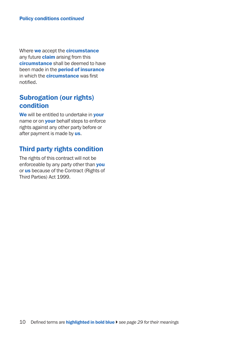Where we accept the **circumstance** any future **claim** arising from this circumstance shall be deemed to have been made in the **period of insurance** in which the **circumstance** was first notified.

### Subrogation (our rights) condition

We will be entitled to undertake in your name or on your behalf steps to enforce rights against any other party before or after payment is made by us.

### Third party rights condition

The rights of this contract will not be enforceable by any party other than you or us because of the Contract (Rights of Third Parties) Act 1999.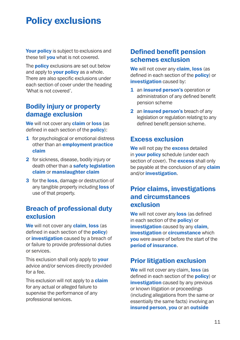# **Policy exclusions**

Your policy is subject to exclusions and these tell **you** what is not covered.

The **policy** exclusions are set out below and apply to **your policy** as a whole. There are also specific exclusions under each section of cover under the heading 'What is not covered'.

### Bodily injury or property damage exclusion

We will not cover any **claim** or loss (as defined in each section of the **policy**):

- **1** for psychological or emotional distress other than an **employment practice** claim
- 2 for sickness, disease, bodily injury or death other than a safety legislation claim or manslaughter claim
- 3 for the loss, damage or destruction of any tangible property including **loss** of use of that property.

### Breach of professional duty exclusion

We will not cover any **claim, loss** (as defined in each section of the **policy**) or *investigation* caused by a breach of or failure to provide professional duties or services.

This exclusion shall only apply to **your** advice and/or services directly provided for a fee.

This exclusion will not apply to a **claim** for any actual or alleged failure to supervise the performance of any professional services.

## Defined benefit pension schemes exclusion

We will not cover any **claim, loss** (as defined in each section of the **policy**) or investigation caused by:

- 1 an insured person's operation or administration of any defined benefit pension scheme
- 2 an insured person's breach of any legislation or regulation relating to any defined benefit pension scheme.

### Excess exclusion

We will not pay the excess detailed in **vour policy** schedule (under each section of cover). The **excess** shall only be payable at the conclusion of any **claim** and/or investigation.

### Prior claims, investigations and circumstances exclusion

We will not cover any loss (as defined in each section of the **policy**) or **investigation** caused by any **claim. investigation or circumstance which** you were aware of before the start of the period of insurance.

### Prior litigation exclusion

We will not cover any claim, loss (as defined in each section of the **policy**) or **investigation** caused by any previous or known litigation or proceedings (including allegations from the same or essentially the same facts) involving an insured person, you or an outside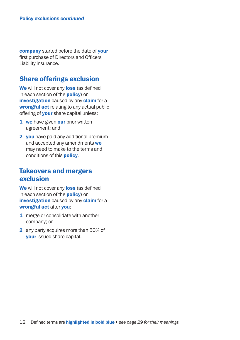company started before the date of your first purchase of Directors and Officers Liability insurance.

### Share offerings exclusion

We will not cover any loss (as defined in each section of the policy) or investigation caused by any claim for a wrongful act relating to any actual public offering of **your** share capital unless:

- 1 we have given our prior written agreement; and
- 2 you have paid any additional premium and accepted any amendments we may need to make to the terms and conditions of this policy.

### Takeovers and mergers exclusion

We will not cover any loss (as defined in each section of the **policy**) or investigation caused by any claim for a wrongful act after you:

- 1 merge or consolidate with another company; or
- 2 any party acquires more than 50% of your issued share capital.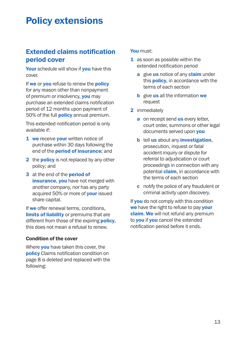# **Policy extensions**

### Extended claims notification period cover

Your schedule will show if you have this cover.

If we or you refuse to renew the policy for any reason other than nonpayment of premium or insolvency, **you** may purchase an extended claims notification period of 12 months upon payment of 50% of the full **policy** annual premium.

This extended notification period is only available if:

- **1** we receive **your** written notice of purchase within 30 days following the end of the **period of insurance**; and
- 2 the **policy** is not replaced by any other policy; and
- 3 at the end of the **period of insurance, you** have not merged with another company, nor has any party acquired 50% or more of **your** issued share capital.

If we offer renewal terms, conditions, **limits of liability** or premiums that are different from those of the expiring **policy**. this does not mean a refusal to renew.

#### Condition of the cover

Where **you** have taken this cover, the policy Claims notification condition on page 8 is deleted and replaced with the following:

#### You must:

- 1 as soon as possible within the extended notification period
	- a give us notice of any claim under this **policy**, in accordance with the terms of each section
	- **b** give **us** all the information we request
- 2 immediately
	- a on receipt send us every letter, court order, summons or other legal documents served upon **you**
	- **b** tell us about any **investigation**, prosecution, inquest or fatal accident inquiry or dispute for referral to adjudication or court proceedings in connection with any potential **claim**, in accordance with the terms of each section
	- c notify the police of any fraudulent or criminal activity upon discovery.

If you do not comply with this condition we have the right to refuse to pay your claim. We will not refund any premium to **you** if **you** cancel the extended notification period before it ends.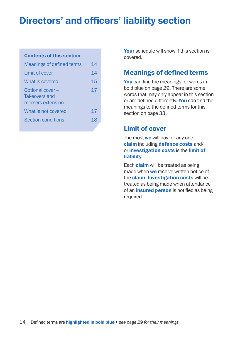# Directors' and officers' liability section

#### Contents of this section

| Meanings of defined terms                             | 14 |
|-------------------------------------------------------|----|
| Limit of cover                                        | 14 |
| What is covered                                       | 15 |
| Optional cover-<br>Takeovers and<br>mergers extension | 17 |
| What is not covered                                   | 17 |
| Section conditions                                    | 18 |

Your schedule will show if this section is covered.

### Meanings of defined terms

You can find the meanings for words in bold blue on page 29. There are some words that may only appear in this section or are defined differently. You can find the meanings to the defined terms for this section on page 33.

### Limit of cover

The most we will pay for any one claim including defence costs and/ or investigation costs is the limit of liability.

Each **claim** will be treated as being made when we receive written notice of the **claim. Investigation costs** will be treated as being made when attendance of an **insured person** is notified as being required.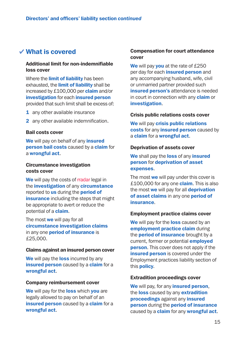### What is covered

#### Additional limit for non-indemnifiable loss cover

Where the **limit of liability** has been exhausted, the **limit of liability** shall be increased by £100,000 per claim and/or investigation for each insured person provided that such limit shall be excess of:

- 1 any other available insurance
- 2 any other available indemnification.

#### Bail costs cover

We will pay on behalf of any *insured* **person bail costs caused by a claim for** a wrongful act.

#### Circumstance investigation costs cover

We will pay the costs of rradar legal in the **investigation** of any **circumstance** reported to us during the **period of insurance** including the steps that might be appropriate to avert or reduce the potential of a claim.

The most we will pay for all circumstance investigation claims in any one **period of insurance** is £25,000.

#### Claims against an insured person cover

We will pay the loss incurred by any **insured person** caused by a **claim** for a wrongful act.

#### Company reimbursement cover

We will pay for the loss which you are legally allowed to pay on behalf of an insured person caused by a claim for a wrongful act.

#### Compensation for court attendance cover

We will pay you at the rate of £250 per day for each *insured* person and any accompanying husband, wife, civil or unmarried partner provided such insured person's attendance is needed in court in connection with any **claim** or investigation.

#### Crisis public relations costs cover

We will pay crisis public relations costs for any *insured* person caused by a claim for a wrongful act.

#### Deprivation of assets cover

We shall pay the loss of any insured person for deprivation of asset expenses.

The most we will pay under this cover is £100,000 for any one **claim**. This is also the most we will pay for all deprivation of asset claims in any one period of insurance.

#### Employment practice claims cover

We will pay for the loss caused by an employment practice claim during the **period of insurance** brought by a current, former or potential **employed person.** This cover does not apply if the insured person is covered under the Employment practices liability section of this policy.

#### Extradition proceedings cover

We will pay, for any *insured* person. the **loss** caused by any **extradition** proceedings against any insured person during the period of insurance caused by a **claim** for any **wrongful act**.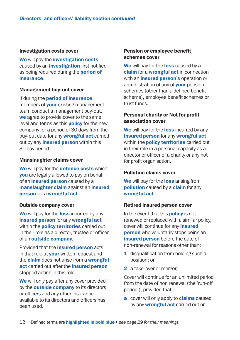#### Investigation costs cover

We will pay the **investigation costs** caused by an *investigation* first notified as being required during the **period of** insurance.

#### Management buy-out cover

If during the **period of insurance** members of **your** existing management team conduct a management buy-out, we agree to provide cover to the same level and terms as this **policy** for the new company for a period of 30 days from the buy-out date for any **wrongful act** carried out by any *insured person* within this 30 day period.

#### Manslaughter claims cover

We will pay for the **defence costs** which you are legally allowed to pay on behalf of an *insured* person caused by a manslaughter claim against an insured person for a wrongful act.

#### Outside company cover

We will pay for the loss incurred by any insured person for any wrongful act within the **policy territories** carried out in their role as a director, trustee or officer of an outside company.

Provided that the insured person acts in that role at your written request and the **claim** does not arise from a **wrongful** act carried out after the insured person stopped acting in this role.

We will only pay after any cover provided by the **outside company** to its directors or officers and any other insurance available to its directors and officers has been used.

#### Pension or employee benefit schemes cover

We will pay for the loss caused by a claim for a wrongful act in connection with an *insured person's* operation or administration of any of **your** pension schemes (other than a defined benefit scheme), employee benefit schemes or trust funds.

#### Personal charity or Not for profit association cover

We will pay for the **loss** incurred by any insured person for any wrongful act within the **policy territories** carried out in their role in a personal capacity as a director or officer of a charity or any not for profit organisation.

#### Pollution claims cover

We will pay for the loss arising from **pollution** caused by a **claim** for any wrongful act.

#### Retired insured person cover

In the event that this **policy** is not renewed or replaced with a similar policy, cover will continue for any *insured* **person** who voluntarily stops being an insured person before the date of non-renewal for reasons other than:

- 1 disqualification from holding such a position; or
- 2 a take-over or merger.

Cover will continue for an unlimited period from the date of non renewal (the 'run-off period'), provided that:

a cover will only apply to **claims** caused by any **wrongful act** carried out or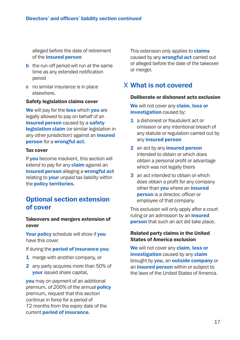alleged before the date of retirement of the insured person

- **b** the run-off period will run at the same time as any extended notification period
- c no similar insurance is in place elsewhere.

#### Safety legislation claims cover

We will pay for the loss which you are legally allowed to pay on behalf of an insured person caused by a safety legislation claim (or similar legislation in any other jurisdiction) against an *insured* person for a wrongful act.

#### Tax cover

If **vou** become insolvent, this section will extend to pay for any **claim** against an insured person alleging a wrongful act relating to **your** unpaid tax liability within the policy territories.

### Optional section extension of cover

#### Takeovers and mergers extension of cover

Your policy schedule will show if you have this cover.

#### If during the **period of insurance you:**

- 1 merge with another company, or
- 2 any party acquires more than 50% of your issued share capital,

you may on payment of an additional premium, of 200% of the annual **policy** premium, request that this section continue in force for a period of 72 months from the expiry date of the current period of insurance.

This extension only applies to **claims** caused by any **wrongful act** carried out or alleged before the date of the takeover or merger.

### What is not covered

#### Deliberate or dishonest acts exclusion

We will not cover any claim, loss or investigation caused by:

- 1 a dishonest or fraudulent act or omission or any intentional breach of any statute or regulation carried out by any insured person
- 2 an act by any *insured* person intended to obtain or which does obtain a personal profit or advantage which was not legally theirs
- 3 an act intended to obtain or which does obtain a profit for any company other than **you** where an *insured* **person** is a director, officer or employee of that company.

This exclusion will only apply after a court ruling or an admission by an *insured* **person** that such an act did take place.

#### Related party claims in the United States of America exclusion

We will not cover any claim, loss or investigation caused by any claim brought by **you**, an **outside company** or an insured person within or subject to the laws of the United States of America.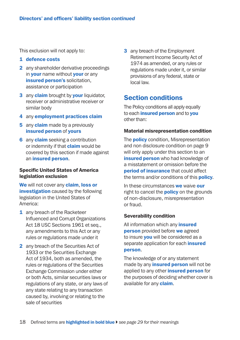This exclusion will not apply to:

#### 1 defence costs

- 2 any shareholder derivative proceedings in **your** name without **your** or any insured person's solicitation. assistance or participation
- 3 any claim brought by your liquidator, receiver or administrative receiver or similar body
- 4 any employment practices claim
- 5 any **claim** made by a previously insured person of yours
- **6** any **claim** seeking a contribution or indemnity if that **claim** would be covered by this section if made against an insured person.

#### Specific United States of America legislation exclusion

We will not cover any claim, loss or **investigation** caused by the following legislation in the United States of America:

- 1 any breach of the Racketeer Influenced and Corrupt Organizations Act 18 USC Sections 1961 et seq., any amendments to this Act or any rules or regulations made under it
- 2 any breach of the Securities Act of 1933 or the Securities Exchange Act of 1934, both as amended, the rules or regulations of the Securities Exchange Commission under either or both Acts, similar securities laws or regulations of any state, or any laws of any state relating to any transaction caused by, involving or relating to the sale of securities

**3** any breach of the Employment Retirement Income Security Act of 1974 as amended, or any rules or regulations made under it, or similar provisions of any federal, state or local law.

### Section conditions

The Policy conditions all apply equally to each *insured person* and to **you** other than:

#### Material misrepresentation condition

The **policy** condition, Misrepresentation and non disclosure condition on page 9 will only apply under this section to an insured person who had knowledge of a misstatement or omission before the period of insurance that could affect the terms and/or conditions of this **policy**.

In these circumstances we waive our right to cancel the **policy** on the grounds of non-disclosure, misrepresentation or fraud.

#### Severability condition

All information which any *insured* **person** provided before we agreed to insure **you** will be considered as a separate application for each *insured* person.

The knowledge of or any statement made by any *insured* person will not be applied to any other *insured* person for the purposes of deciding whether cover is available for any **claim**.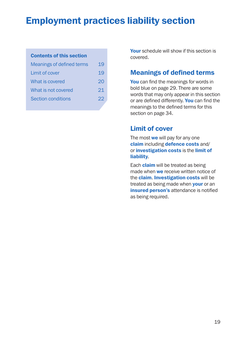# Employment practices liability section

### Contents of this section

| Meanings of defined terms | 19 |
|---------------------------|----|
| Limit of cover            | 19 |
| What is covered           | 20 |
| What is not covered       | 21 |
| Section conditions        | 22 |

Your schedule will show if this section is covered.

### Meanings of defined terms

You can find the meanings for words in bold blue on page 29. There are some words that may only appear in this section or are defined differently. You can find the meanings to the defined terms for this section on page 34.

### Limit of cover

The most we will pay for any one claim including defence costs and/ or investigation costs is the limit of liability.

Each **claim** will be treated as being made when **we** receive written notice of the **claim. Investigation costs** will be treated as being made when **your** or an **insured person's attendance is notified** as being required.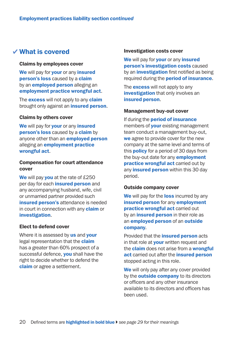### What is covered

#### Claims by employees cover

We will pay for **your** or any *insured* person's loss caused by a claim by an **employed person** alleging an employment practice wrongful act.

The **excess** will not apply to any **claim** brought only against an *insured* person.

#### Claims by others cover

We will pay for **your** or any *insured* person's loss caused by a claim by anyone other than an **employed person** alleging an **employment practice** wrongful act.

#### Compensation for court attendance cover

We will pay vou at the rate of £250 per day for each *insured* person and any accompanying husband, wife, civil or unmarried partner provided such insured person's attendance is needed in court in connection with any **claim** or investigation.

#### Elect to defend cover

Where it is assessed by us and your legal representation that the **claim** has a greater than 60% prospect of a successful defence, you shall have the right to decide whether to defend the claim or agree a settlement.

#### Investigation costs cover

We will pay for your or any insured person's investigation costs caused by an *investigation* first notified as being required during the **period of insurance**.

The **excess** will not apply to any **investigation** that only involves an insured person.

#### Management buy-out cover

If during the **period of insurance** members of **your** existing management team conduct a management buy-out, we agree to provide cover for the new company at the same level and terms of this **policy** for a period of 30 days from the buy-out date for any **employment** practice wrongful act carried out by any **insured person** within this 30 day period.

#### Outside company cover

We will pay for the loss incurred by any insured person for any employment practice wrongful act carried out by an *insured person* in their role as an **employed person** of an **outside** company.

Provided that the **insured person** acts in that role at **your** written request and the **claim** does not arise from a wrongful act carried out after the insured person stopped acting in this role.

We will only pay after any cover provided by the **outside company** to its directors or officers and any other insurance available to its directors and officers has been used.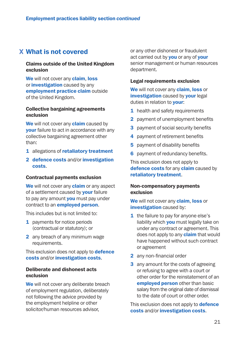### What is not covered

#### Claims outside of the United Kingdom exclusion

We will not cover any **claim, loss** or *investigation* caused by any employment practice claim outside of the United Kingdom.

#### Collective bargaining agreements exclusion

We will not cover any **claim** caused by **vour** failure to act in accordance with any collective bargaining agreement other than:

- 1 allegations of retaliatory treatment
- 2 defence costs and/or investigation costs.

#### Contractual payments exclusion

We will not cover any **claim** or any aspect of a settlement caused by **your** failure to pay any amount **you** must pay under contract to an employed person.

This includes but is not limited to:

- 1 payments for notice periods (contractual or statutory); or
- 2 any breach of any minimum wage requirements.

This exclusion does not apply to **defence** costs and/or investigation costs.

#### Deliberate and dishonest acts exclusion

We will not cover any deliberate breach of employment regulation, deliberately not following the advice provided by the employment helpline or other solicitor/human resources advisor,

or any other dishonest or fraudulent act carried out by **you** or any of **your** senior management or human resources department.

#### Legal requirements exclusion

We will not cover any **claim, loss** or investigation caused by vour legal duties in relation to your:

- **1** health and safety requirements
- 2 payment of unemployment benefits
- **3** payment of social security benefits
- 4 payment of retirement benefits
- **5** payment of disability benefits
- **6** payment of redundancy benefits.

This exclusion does not apply to defence costs for any claim caused by retaliatory treatment.

#### Non-compensatory payments exclusion

We will not cover any claim, loss or investigation caused by:

- 1 the failure to pay for anyone else's liability which you must legally take on under any contract or agreement. This does not apply to any **claim** that would have happened without such contract or agreement
- 2 any non-financial order
- **3** any amount for the costs of agreeing or refusing to agree with a court or other order for the reinstatement of an employed person other than basic salary from the original date of dismissal to the date of court or other order.

This exclusion does not apply to **defence** costs and/or investigation costs.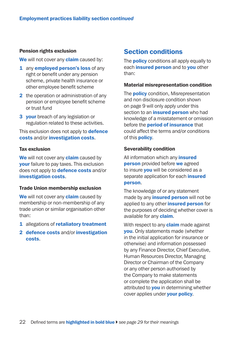#### Pension rights exclusion

We will not cover any **claim** caused by:

- 1 any **employed person's loss** of any right or benefit under any pension scheme, private health insurance or other employee benefit scheme
- 2 the operation or administration of any pension or employee benefit scheme or trust fund
- **3** your breach of any legislation or regulation related to these activities.

This exclusion does not apply to **defence** costs and/or investigation costs.

#### Tax exclusion

We will not cover any **claim** caused by your failure to pay taxes. This exclusion does not apply to **defence costs** and/or investigation costs.

#### Trade Union membership exclusion

We will not cover any **claim** caused by membership or non-membership of any trade union or similar organisation other than:

- 1 allegations of retaliatory treatment
- 2 defence costs and/or investigation costs.

### Section conditions

The **policy** conditions all apply equally to each **insured person** and to **you** other than:

#### Material misrepresentation condition

The **policy** condition, Misrepresentation and non disclosure condition shown on page 9 will only apply under this section to an *insured* **person** who had knowledge of a misstatement or omission before the period of insurance that could affect the terms and/or conditions of this policy.

#### Severability condition

All information which any *insured* **person** provided before we agreed to insure **you** will be considered as a separate application for each *insured* person.

The knowledge of or any statement made by any *insured* person will not be applied to any other *insured* person for the purposes of deciding whether cover is available for any **claim**.

With respect to any **claim** made against you. Only statements made (whether in the initial application for insurance or otherwise) and information possessed by any Finance Director, Chief Executive, Human Resources Director, Managing Director or Chairman of the Company or any other person authorised by the Company to make statements or complete the application shall be attributed to **you** in determining whether cover applies under **vour policy**.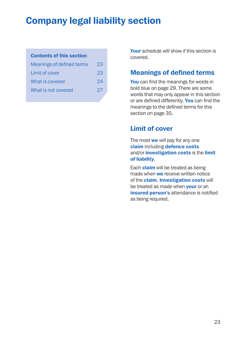# Company legal liability section

### Contents of this section

| Meanings of defined terms | 23 |
|---------------------------|----|
| Limit of cover            | 23 |
| What is covered           | 24 |
| What is not covered       | 27 |

Your schedule will show if this section is covered.

### Meanings of defined terms

You can find the meanings for words in bold blue on page 29. There are some words that may only appear in this section or are defined differently. You can find the meanings to the defined terms for this section on page 35.

### Limit of cover

The most we will pay for any one claim including defence costs and/or investigation costs is the limit of liability.

Each **claim** will be treated as being made when **we** receive written notice of the claim. Investigation costs will be treated as made when **your** or an **insured person's attendance is notified** as being required.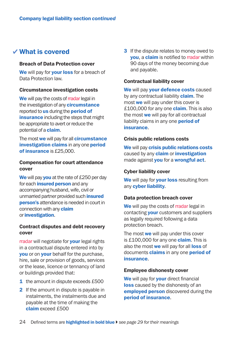### What is covered

#### Breach of Data Protection cover

We will pay for **your loss** for a breach of Data Protection law.

#### Circumstance investigation costs

We will pay the costs of rradar legal in the investigation of any **circumstance** reported to **us** during the **period of insurance** including the steps that might be appropriate to avert or reduce the potential of a claim.

The most we will pay for all circumstance investigation claims in any one period of insurance is £25,000.

#### Compensation for court attendance cover

We will pay vou at the rate of £250 per day for each **insured person** and any accompanying husband, wife, civil or unmarried partner provided such insured person's attendance is needed in court in connection with any **claim** or investigation.

#### Contract disputes and debt recovery cover

rradar will negotiate for your legal rights in a contractual dispute entered into by **you** or on **your** behalf for the purchase, hire, sale or provision of goods, services or the lease, licence or tennancy of land or buildings provided that:

- **1** the amount in dispute exceeds £500
- 2 If the amount in dispute is payable in instalments, the instalments due and payable at the time of making the claim exceed £500

**3** If the dispute relates to money owed to **vou, a claim** is notified to rradar within 90 days of the money becoming due and payable.

#### Contractual liability cover

We will pay your defence costs caused by any contractual liability **claim**. The most **we** will pay under this cover is £100,000 for any one **claim**. This is also the most we will pay for all contractual liability claims in any one **period of** insurance.

#### Crisis public relations costs

We will pay crisis public relations costs caused by any **claim** or *investigation* made against you for a wrongful act.

#### Cyber liability cover

We will pay for **your loss** resulting from any cyber liability.

#### Data protection breach cover

We will pay the costs of rradar legal in contacting **your** customers and suppliers as legally required following a data protection breach.

The most we will pay under this cover is  $£100,000$  for any one **claim**. This is also the most we will pay for all loss of documents **claims** in any one **period of** insurance.

#### Employee dishonesty cover

We will pay for **your** direct financial loss caused by the dishonesty of an employed person discovered during the period of insurance.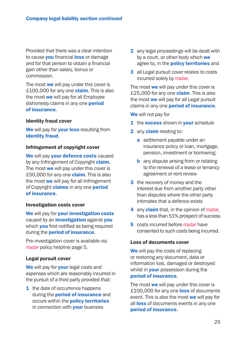Provided that there was a clear intention to cause you financial loss or damage and for that person to obtain a financial gain other than salary, bonus or commission.

The most we will pay under this cover is £100,000 for any one **claim**. This is also the most we will pay for all Employee dishonesty claims in any one **period** of insurance.

#### Identity fraud cover

We will pay for your loss resulting from identity fraud.

#### Infringement of copyright cover

We will pay your defence costs caused by any Infringement of Copyright **claim**. The most we will pay under this cover is £50,000 for any one **claim**. This is also the most we will pay for all Infringement of Copyright **claims** in any one **period** of insurance.

#### Investigation costs cover

We will pay for your investigation costs caused by an *investigation* against vou which you first notified as being required during the **period of insurance**.

Pre-investigation cover is available via rradar policy helpline page 5.

#### Legal pursuit cover

We will pay for your legal costs and expenses which are reasonably incurred in the pursuit of a third party provided that:

1 the date of occurrence happens during the **period of insurance** and occurs within the policy territories in connection with **your** business

- 2 any legal proceedings will be dealt with by a court, or other body which we agree to, in the **policy territories** and
- 3 all Legal pursuit cover relates to costs incurred solely by rradar.

The most we will pay under this cover is £25,000 for any one **claim**. This is also the most we will pay for all Legal pursuit claims in any one **period of insurance**.

We will not pay for

- 1 the excess shown in your schedule
- 2 any **claim** relating to:
	- a settlement payable under an insurance policy or loan, mortgage, pension, investment or borrowing;
	- **b** any dispute arising from or relating to the renewal of a lease or tenancy agreement or rent review
- **3** the recovery of money and the interest due from another party other than disputes where the other party intimates that a defence exists
- 4 any **claim** that, in the opinion of rradar, has a less than 51% prospect of success
- 5 costs incurred before rradar have consented to such costs being incurred.

#### Loss of documents cover

We will pay the costs of replacing or restoring any document, data or information lost, damaged or destroyed whilst in **your** possession during the period of insurance.

The most we will pay under this cover is £100,000 for any one loss of documents event. This is also the most we will pay for all **loss** of documents events in any one period of insurance.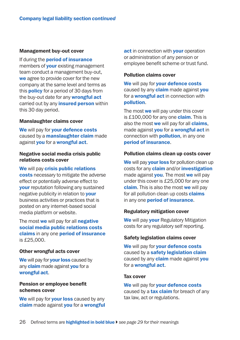#### Management buy-out cover

If during the **period of insurance** members of **your** existing management team conduct a management buy-out, we agree to provide cover for the new company at the same level and terms as this **policy** for a period of 30 days from the buy-out date for any **wrongful act** carried out by any *insured* **person** within this 30 day period.

#### Manslaughter claims cover

We will pay for your defence costs caused by a **manslaughter claim** made against you for a wrongful act.

#### Negative social media crisis public relations costs cover

We will pay crisis public relations costs necessary to mitigate the adverse effect or potentially adverse effect to your reputation following any sustained negative publicity in relation to **your** business activities or practices that is posted on any internet-based social media platform or website.

The most we will pay for all negative social media public relations costs claims in any one period of insurance is £25,000.

#### Other wrongful acts cover

We will pay for **your loss** caused by any **claim** made against **you** for a wrongful act.

#### Pension or employee benefit schemes cover

We will pay for your loss caused by any claim made against you for a wrongful act in connection with your operation or administration of any pension or employee benefit scheme or trust fund.

#### Pollution claims cover

We will pay for your defence costs caused by any **claim** made against you for a **wrongful act** in connection with pollution.

The most we will pay under this cover is  $£100,000$  for any one **claim**. This is also the most we will pay for all claims, made against you for a wrongful act in connection with **pollution**, in any one period of insurance.

#### Pollution claims clean up costs cover

We will pay **your loss** for pollution clean up costs for any **claim** and/or *investigation* made against **you**. The most we will pay under this cover is £25,000 for any one claim. This is also the most we will pay for all pollution clean up costs **claims** in any one **period of insurance**.

#### Regulatory mitigation cover

We will pay **your** Regulatory Mitigation costs for any regulatory self reporting.

#### Safety legislation claims cover

We will pay for your defence costs caused by a safety legislation claim caused by any **claim** made against you for a **wrongful act**.

#### Tax cover

We will pay for your defence costs caused by a **tax claim** for breach of any tax law, act or regulations.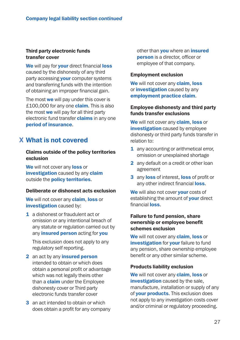#### Third party electronic funds transfer cover

We will pay for your direct financial loss caused by the dishonesty of any third party accessing your computer systems and transferring funds with the intention of obtaining an improper financial gain.

The most we will pay under this cover is £100,000 for any one **claim**. This is also the most we will pay for all third party electronic fund transfer **claims** in any one period of insurance.

## What is not covered

#### Claims outside of the policy territories exclusion

We will not cover any loss or investigation caused by any claim outside the policy territories.

#### Deliberate or dishonest acts exclusion

We will not cover any **claim, loss** or investigation caused by:

1 a dishonest or fraudulent act or omission or any intentional breach of any statute or regulation carried out by any *insured person* acting for you

 This exclusion does not apply to any regulatory self reporting.

- 2 an act by any **insured person** intended to obtain or which does obtain a personal profit or advantage which was not legally theirs other than a **claim** under the Employee dishonesty cover or Third party electronic funds transfer cover
- 3 an act intended to obtain or which does obtain a profit for any company

other than **you** where an *insured* person is a director, officer or employee of that company.

#### Employment exclusion

We will not cover any **claim, loss** or *investigation* caused by any employment practice claim.

#### Employee dishonesty and third party funds transfer exclusions

We will not cover any **claim, loss or** investigation caused by employee dishonesty or third party funds transfer in relation to:

- 1 any accounting or arithmetical error, omission or unexplained shortage
- 2 any default on a credit or other loan agreement
- 3 any loss of interest, loss of profit or any other indirect financial loss.

We will also not cover vour costs of establishing the amount of **your** direct financial loss.

#### Failure to fund pension, share ownership or employee benefit schemes exclusion

We will not cover any **claim, loss** or investigation for your failure to fund any pension, share ownership employee benefit or any other similar scheme.

#### Products liability exclusion

We will not cover any **claim, loss** or **investigation** caused by the sale. manufacture, installation or supply of any of **your products**. This exclusion does not apply to any investigation costs cover and/or criminal or regulatory proceeding.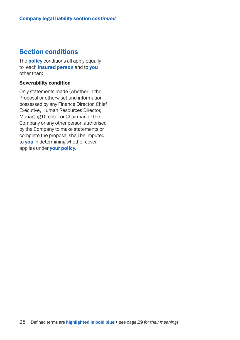### Section conditions

The **policy** conditions all apply equally to each *insured* person and to you other than:

#### Severability condition

Only statements made (whether in the Proposal or otherwise) and information possessed by any Finance Director, Chief Executive, Human Resources Director, Managing Director or Chairman of the Company or any other person authorised by the Company to make statements or complete the proposal shall be imputed to **you** in determining whether cover applies under **your policy**.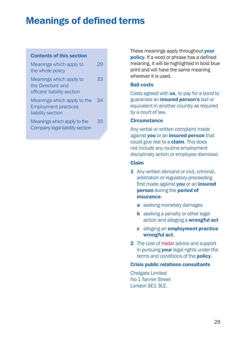# **Meanings of defined terms**

### Contents of this section

| Meanings which apply to<br>the whole policy                                     |    |
|---------------------------------------------------------------------------------|----|
| Meanings which apply to<br>the Directors' and<br>officers' liability section    | 33 |
| Meanings which apply to the<br><b>Employment practices</b><br>liability section | 34 |
| Meanings which apply to the<br>Company legal liability section                  | 35 |

These meanings apply throughout **your** policy. If a word or phrase has a defined meaning, it will be highlighted in bold blue print and will have the same meaning wherever it is used.

#### Bail costs

Costs agreed with us, to pay for a bond to guarantee an insured person's bail or equivalent in another country as required by a court of law.

#### **Circumstance**

Any verbal or written complaint made against you or an insured person that could give rise to a **claim**. This does not include any routine employment disciplinary action or employee dismissal.

#### Claim

- 1 Any written demand or civil, criminal, arbitration or regulatory proceeding first made against you or an insured person during the period of insurance:
	- a seeking monetary damages
	- **b** seeking a penalty or other legal action and alleging a wrongful act
	- c alleging an employment practice wrongful act.
- 2 The cost of rradar advice and support in pursuing **your** legal rights under the terms and conditions of the **policy**.

### Crisis public relations consultants

Chelgate Limited No 1 Tanner Street London SE1 3LE.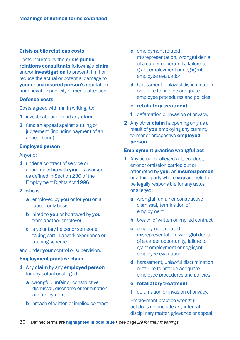#### Crisis public relations costs

Costs incurred by the **crisis public** relations consultants following a claim and/or **investigation** to prevent, limit or reduce the actual or potential damage to your or any insured person's reputation from negative publicity or media attention.

#### Defence costs

Costs agreed with **us**, in writing, to:

- 1 investigate or defend any claim
- 2 fund an appeal against a ruling or judgement (including payment of an appeal bond).

#### Employed person

Anyone:

- 1 under a contract of service or apprenticeship with **you** or a worker as defined in Section 230 of the Employment Rights Act 1996
- 2 who is
	- a employed by you or for you on a labour only basis
	- **b** hired to you or borrowed by you from another employer
	- c a voluntary helper or someone taking part in a work experience or training scheme

and under your control or supervision.

#### Employment practice claim

- 1 Any claim by any employed person for any actual or alleged:
	- a wrongful, unfair or constructive dismissal, discharge or termination of employment
	- **b** breach of written or implied contract
- c employment related misrepresentation, wrongful denial of a career opportunity, failure to grant employment or negligent employee evaluation
- d harassment, unlawful discrimination or failure to provide adequate employee procedures and policies
- e retaliatory treatment
- f defamation or invasion of privacy.
- 2 Any other **claim** happening only as a result of **you** employing any current, former or prospective employed person.

#### Employment practice wrongful act

- 1 Any actual or alleged act, conduct, error or omission carried out or attempted by you, an insured person or a third party where you are held to be legally responsible for any actual or alleged:
	- a wrongful, unfair or constructive dismissal, termination of employment
	- **b** breach of written or implied contract
	- c employment related misrepresentation, wrongful denial of a career opportunity, failure to grant employment or negligent employee evaluation
	- d harassment, unlawful discrimination or failure to provide adequate employee procedures and policies
	- e retaliatory treatment
	- f defamation or invasion of privacy.

 Employment practice wrongful act does not include any internal disciplinary matter, grievance or appeal.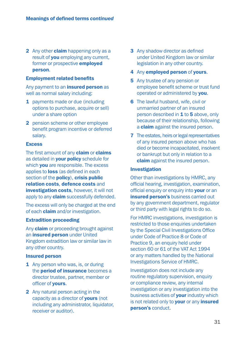2 Any other **claim** happening only as a result of **you** employing any current. former or prospective **employed** person.

#### Employment related benefits

Any payment to an *insured* person as well as normal salary including:

- 1 payments made or due (including options to purchase, acquire or sell) under a share option
- 2 pension scheme or other employee benefit program incentive or deferred salary.

#### **Excess**

The first amount of any **claim** or **claims** as detailed in **your policy** schedule for which **you** are responsible. The excess applies to **loss** (as defined in each section of the **policy**), crisis public relation costs, defence costs and **investigation costs**, however, it will not apply to any **claim** successfully defended.

The excess will only be charged at the end of each **claim** and/or investigation.

#### Extradition proceeding

Any **claim** or proceeding brought against an insured person under United Kingdom extradition law or similar law in any other country.

#### Insured person

- 1 Any person who was, is, or during the **period of insurance** becomes a director trustee, partner, member or officer of yours.
- 2 Any natural person acting in the capacity as a director of yours (not including any administrator, liquidator, receiver or auditor).
- 3 Any shadow director as defined under United Kingdom law or similar legislation in any other country.
- 4 Any employed person of yours.
- 5 Any trustee of any pension or employee benefit scheme or trust fund operated or administered by you.
- 6 The lawful husband, wife, civil or unmarried partner of an insured person described in 1 to 5 above, only because of their relationship, following a **claim** against the insured person.
- **7** The estates, heirs or legal representatives of any insured person above who has died or become incapacitated, insolvent or bankrupt but only in relation to a claim against the insured person.

#### Investigation

Other than investigations by HMRC, any official hearing, investigation, examination, official enquiry or enquiry into **your** or an insured person's business carried out by any government department, regulator or third party with legal rights to do so.

For HMRC investigations, investigation is restricted to those enquiries undertaken by the Special Civil Investigations Office under Code of Practice 8 or Code of Practice 9, an enquiry held under section 60 or 61 of the VAT Act 1994 or any matters handled by the National Investigations Service of HMRC.

Investigation does not include any routine regulatory supervision, enquiry or compliance review, any internal investigation or any investigation into the business activities of **your** industry which is not related only to **your** or any *insured* person's conduct.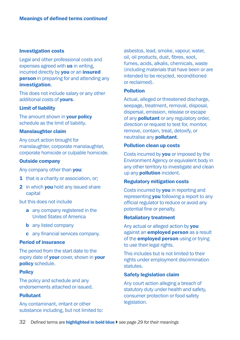#### Investigation costs

Legal and other professional costs and expenses agreed with us in writing. incurred directly by you or an insured **person** in preparing for and attending any investigation.

This does not include salary or any other additional costs of yours.

#### Limit of liability

The amount shown in **your policy** schedule as the limit of liability.

#### Manslaughter claim

Any court action brought for manslaughter, corporate manslaughter, corporate homicide or culpable homicide.

#### Outside company

Any company other than you:

- 1 that is a charity or association, or;
- 2 in which you hold any issued share capital

but this does not include

- a any company registered in the United States of America
- **b** any listed company
- c any financial services company.

#### Period of insurance

The period from the start date to the expiry date of your cover, shown in your policy schedule.

#### **Policy**

The policy and schedule and any endorsements attached or issued.

#### Pollutant

Any contaminant, irritant or other substance including, but not limited to: asbestos, lead, smoke, vapour, water, oil, oil products, dust, fibres, soot, fumes, acids, alkalis, chemicals, waste (including materials that have been or are intended to be recycled, reconditioned or reclaimed).

#### Pollution

Actual, alleged or threatened discharge. seepage, treatment, removal, disposal, dispersal, emission, release or escape of any **pollutant** or any regulatory order, direction or request to test for, monitor, remove, contain, treat, detoxify, or neutralise any pollutant.

#### Pollution clean up costs

Costs incurred by you or imposed by the Environment Agency or equivalent body in any other territory to investigate and clean up any **pollution** incident.

#### Regulatory mitigation costs

Costs incurred by **you** in reporting and representing **you** following a report to any official regulator to reduce or avoid any potential fine or penalty.

#### Retaliatory treatment

Any actual or alleged action by you against an employed person as a result of the **employed person** using or trying to use their legal rights.

This includes but is not limited to their rights under employment discrimination statutes.

#### Safety legislation claim

Any court action alleging a breach of statutory duty under health and safety, consumer protection or food safety legislation.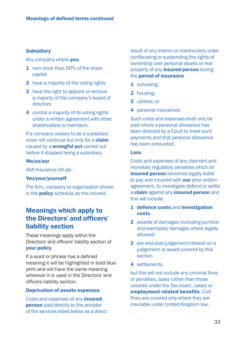#### **Subsidiary**

Any company where you;

- 1 own more than 50% of the share capital
- 2 have a majority of the voting rights
- **3** have the right to appoint or remove a majority of the company's board of directors
- 4 control a majority of its voting rights under a written agreement with other shareholders or members.

If a company ceases to be a subsidiary cover will continue but only for a **claim** caused by a **wrongful act** carried out before it stopped being a subsidiary.

#### We/us/our

AXA Insurance UK plc.

#### You/your/yourself

The firm, company or organisation shown in the **policy** schedule as the insured.

### Meanings which apply to the Directors' and officers' liability section

These meanings apply within the Directors' and officers' liability section of your policy.

If a word or phrase has a defined meaning it will be highlighted in bold blue print and will have the same meaning wherever it is used in the Directors' and officers liability section.

#### Deprivation of assets expenses

Costs and expenses of any insured **person** paid directly to the provider of the services listed below as a direct result of any interim or interlocutory order confiscating or suspending the rights of ownership over personal assets or real property of any *insured* person during the period of insurance

- 1 schooling:
- 2 housing:
- 3 utilities; or
- 4 personal insurances

Such costs and expenses shall only be paid where a personal allowance has been directed by a Court to meet such payments and that personal allowance has been exhausted.

#### Loss

Costs and expenses of any claimant and monetary regulatory penalties which an insured person becomes legally liable to pay and incurred with **our** prior written agreement, to investigate defend or settle a claim against any *insured* person and this will include

- 1 defence costs and investigation costs
- 2 awards of damages (including punitive and exemplary damages where legally allowed)
- 3 pre and post judgement interest on a judgement or award covered by this section
- 4 settlements

but this will not include any criminal fines or penalties, taxes (other than those covered under the Tax cover), salary or employment related benefits. Civil fines are covered only where they are insurable under United Kingdom law.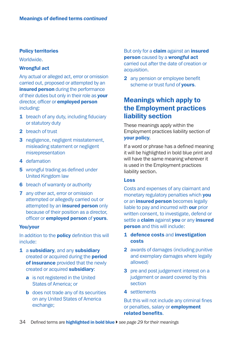#### Policy territories

**Worldwide.** 

#### Wrongful act

Any actual or alleged act, error or omission carried out, proposed or attempted by an insured person during the performance of their duties but only in their role as your director, officer or **employed person** including:

- 1 breach of any duty, including fiduciary or statutory duty
- 2 breach of trust
- 3 negligence, negligent misstatement, misleading statement or negligent misrepresentation
- 4 defamation
- **5** wrongful trading as defined under United Kingdom law
- **6** breach of warranty or authority
- 7 any other act, error or omission attempted or allegedly carried out or attempted by an *insured* person only because of their position as a director, officer or employed person of yours.

#### You/your

In addition to the **policy** definition this will include:

- 1 a subsidiary, and any subsidiary created or acquired during the period of insurance provided that the newly created or acquired subsidiary:
	- a is not registered in the United States of America; or
	- **b** does not trade any of its securities on any United States of America exchange;

But only for a **claim** against an *insured* person caused by a wrongful act carried out after the date of creation or acquisition.

2 any pension or employee benefit scheme or trust fund of **vours**.

## Meanings which apply to the Employment practices liability section

These meanings apply within the Employment practices liability section of your policy.

If a word or phrase has a defined meaning it will be highlighted in bold blue print and will have the same meaning wherever it is used in the Employment practices liability section.

#### Loss

Costs and expenses of any claimant and monetary regulatory penalties which you or an *insured person* becomes legally liable to pay and incurred with **our** prior written consent, to investigate, defend or settle a claim against you or any insured person and this will include:

- 1 defence costs and investigation costs
- 2 awards of damages (including punitive and exemplary damages where legally allowed)
- 3 pre and post judgement interest on a judgement or award covered by this section
- 4 settlements

But this will not include any criminal fines or penalties, salary or **employment** related benefits.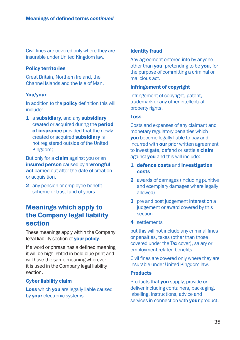Civil fines are covered only where they are insurable under United Kingdom law.

#### Policy territories

Great Britain, Northern Ireland, the Channel Islands and the Isle of Man.

#### You/your

In addition to the **policy** definition this will include:

1 a subsidiary, and any subsidiary created or acquired during the period of insurance provided that the newly created or acquired subsidiary is not registered outside of the United Kingdom;

But only for a **claim** against you or an insured person caused by a wrongful act carried out after the date of creation or acquisition.

2 any pension or employee benefit scheme or trust fund of yours.

### Meanings which apply to the Company legal liability section

These meanings apply within the Company legal liability section of **your policy**.

If a word or phrase has a defined meaning it will be highlighted in bold blue print and will have the same meaning wherever it is used in the Company legal liability section.

#### Cyber liability claim

Loss which you are legally liable caused by **your** electronic systems.

#### Identity fraud

Any agreement entered into by anyone other than you, pretending to be you, for the purpose of committing a criminal or malicious act.

#### Infringement of copyright

Infringement of copyright, patent, trademark or any other intellectual property rights.

#### Loss

Costs and expenses of any claimant and monetary regulatory penalties which you become legally liable to pay and incurred with **our** prior written agreement to investigate, defend or settle a **claim** against **you** and this will include:

- 1 defence costs and investigation costs
- 2 awards of damages (including punitive and exemplary damages where legally allowed)
- 3 pre and post judgement interest on a judgement or award covered by this section
- 4 settlements

but this will not include any criminal fines or penalties, taxes (other than those covered under the Tax cover), salary or employment related benefits.

Civil fines are covered only where they are insurable under United Kingdom law.

#### **Products**

Products that **you** supply, provide or deliver including containers, packaging, labelling, instructions, advice and services in connection with **your** product.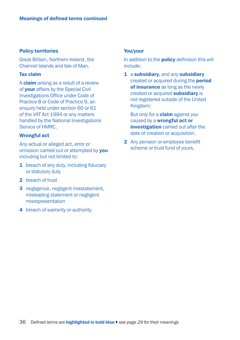#### Policy territories

Great Britain, Northern Ireland, the Channel Islands and Isle of Man.

#### Tax claim

A claim arising as a result of a review of your affairs by the Special Civil Investigations Office under Code of Practice 8 or Code of Practice 9, an enquiry held under section 60 or 61 of the VAT Act 1994 or any matters handled by the National Investigations Service of HMRC.

#### Wrongful act

Any actual or alleged act, error or omission carried out or attempted by you including but not limited to:

- 1 breach of any duty, including fiduciary or statutory duty
- 2 breach of trust
- 3 negligence, negligent misstatement, misleading statement or negligent misrepresentation
- 4 breach of warranty or authority.

#### You/your

In addition to the **policy** definition this will include:

1 a subsidiary, and any subsidiary created or acquired during the period of insurance as long as the newly created or acquired subsidiary is not registered outside of the United Kingdom;

But only for a **claim** against you caused by a wrongful act or **investigation** carried out after the date of creation or acquisition.

2 Any pension or employee benefit scheme or trust fund of yours.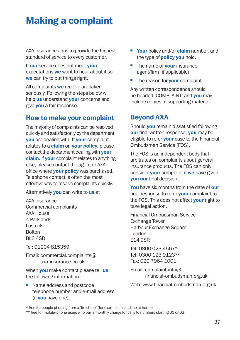# **Making a complaint**

AXA Insurance aims to provide the highest standard of service to every customer.

If our service does not meet vour expectations we want to hear about it so we can try to put things right.

All complaints we receive are taken seriously. Following the steps below will help us understand **your** concerns and give you a fair response.

### How to make your complaint

The majority of complaints can be resolved quickly and satisfactorily by the department **you** are dealing with. If **your** complaint relates to a **claim** on your policy, please contact the department dealing with **your** claim. If your complaint relates to anything else, please contact the agent or AXA office where **your policy** was purchased. Telephone contact is often the most effective way to resolve complaints quickly.

Alternatively **you** can write to us at

AXA Insurance Commercial complaints AXA House 4 Parklands Lostock Bolton BL6 4SD

Tel: 01204 815359

Email[: commercial.complaints@](mailto:commercial.complaints@axa-insurance.co.uk) axa-insurance.co.uk

When **you** make contact please tell us the following information:

 $\blacksquare$  Name address and postcode. telephone number and e-mail address (if **you** have one).

- Your policy and/or **claim** number, and the type of **policy you** hold.
- $\blacksquare$  The name of **vour** insurance agent/firm (if applicable).
- The reason for **your** complaint.

Any written correspondence should be headed 'COMPLAINT' and **you** may include copies of supporting material.

## Beyond AXA

Should **you** remain dissatisfied following our final written response, vou may be eligible to refer **your** case to the Financial Ombudsman Service (FOS).

The FOS is an independent body that arbitrates on complaints about general insurance products. The FOS can only consider **your** complaint if we have given you our final decision.

You have six months from the date of our final response to refer **your** complaint to the FOS. This does not affect **your** right to take legal action.

Financial Ombudsman Service Exchange Tower Harbour Exchange Square London E14 9SR

Tel: 0800 023 4567\* Tel: 0300 123 9123\*\* Fax: 020 7964 1001

Email: complaint.info@ [financial-ombudsman.org.uk](mailto:complaint.info@financial-ombudsman.org.uk)

Web: [www.financial-ombudsman.org.uk](http://www.financial-ombudsman.org.uk)

\* free for people phoning from a 'fixed line' (for example, a landline at home)

\*\* free for mobile-phone users who pay a monthly charge for calls to numbers starting 01 or 02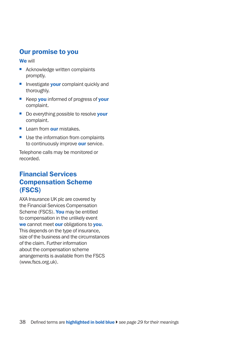### Our promise to you

We will

- $\blacksquare$  Acknowledge written complaints promptly.
- $\blacksquare$  Investigate **your** complaint quickly and thoroughly.
- Keep you informed of progress of your complaint.
- Do everything possible to resolve **your** complaint.
- Learn from **our** mistakes.
- $\blacksquare$  Use the information from complaints to continuously improve our service.

Telephone calls may be monitored or recorded.

## Financial Services Compensation Scheme (FSCS)

AXA Insurance UK plc are covered by the Financial Services Compensation Scheme (FSCS). You may be entitled to compensation in the unlikely event we cannot meet our obligations to you. This depends on the type of insurance, size of the business and the circumstances of the claim. Further information about the compensation scheme arrangements is available from the FSCS ([www.fscs.org.uk\).](http://www.fscs.org.uk)